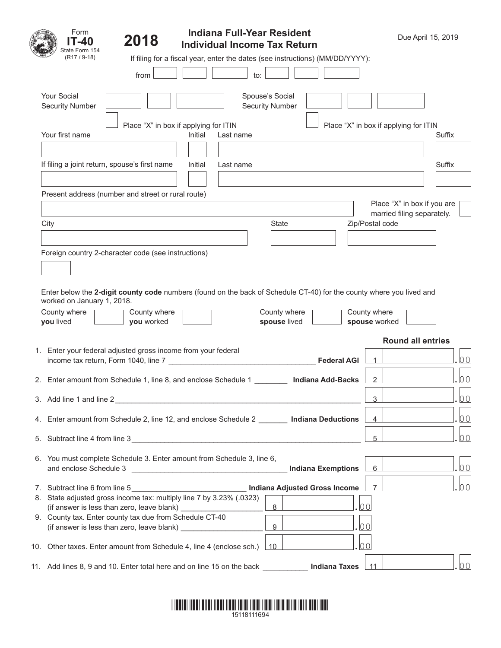| Form<br>IT-40                         | 2018                                                                                                  | <b>Indiana Full-Year Resident</b><br><b>Individual Income Tax Return</b>                                             |                                           |                    |                                       | Due April 15, 2019                                        |                |
|---------------------------------------|-------------------------------------------------------------------------------------------------------|----------------------------------------------------------------------------------------------------------------------|-------------------------------------------|--------------------|---------------------------------------|-----------------------------------------------------------|----------------|
| State Form 154<br>$(R17/9-18)$        |                                                                                                       | If filing for a fiscal year, enter the dates (see instructions) (MM/DD/YYYY):                                        |                                           |                    |                                       |                                                           |                |
|                                       | from                                                                                                  | to:                                                                                                                  |                                           |                    |                                       |                                                           |                |
| Your Social<br><b>Security Number</b> |                                                                                                       |                                                                                                                      | Spouse's Social<br><b>Security Number</b> |                    |                                       |                                                           |                |
| Your first name                       |                                                                                                       | Place "X" in box if applying for ITIN<br>Initial<br>Last name                                                        |                                           |                    | Place "X" in box if applying for ITIN | Suffix                                                    |                |
|                                       | If filing a joint return, spouse's first name                                                         | Initial<br>Last name                                                                                                 |                                           |                    |                                       | Suffix                                                    |                |
|                                       | Present address (number and street or rural route)                                                    |                                                                                                                      |                                           |                    |                                       |                                                           |                |
|                                       |                                                                                                       |                                                                                                                      |                                           |                    |                                       | Place "X" in box if you are<br>married filing separately. |                |
| City                                  |                                                                                                       |                                                                                                                      | <b>State</b>                              |                    | Zip/Postal code                       |                                                           |                |
|                                       |                                                                                                       |                                                                                                                      |                                           |                    |                                       |                                                           |                |
|                                       | Foreign country 2-character code (see instructions)                                                   |                                                                                                                      |                                           |                    |                                       |                                                           |                |
| worked on January 1, 2018.            |                                                                                                       | Enter below the 2-digit county code numbers (found on the back of Schedule CT-40) for the county where you lived and |                                           |                    |                                       |                                                           |                |
| County where<br>you lived             | County where<br>you worked                                                                            |                                                                                                                      | County where<br>spouse lived              |                    | County where<br>spouse worked         |                                                           |                |
|                                       |                                                                                                       |                                                                                                                      |                                           |                    |                                       |                                                           |                |
|                                       | 1. Enter your federal adjusted gross income from your federal                                         |                                                                                                                      |                                           |                    |                                       | <b>Round all entries</b>                                  |                |
|                                       |                                                                                                       | income tax return, Form 1040, line 7                                                                                 |                                           | <b>Federal AGI</b> |                                       |                                                           | 00             |
|                                       |                                                                                                       | 2. Enter amount from Schedule 1, line 8, and enclose Schedule 1                                                      | <b>Indiana Add-Backs</b>                  |                    | 2                                     |                                                           | 00             |
| 3. Add line 1 and line 2              |                                                                                                       |                                                                                                                      |                                           |                    | 3                                     |                                                           | 0 <sub>0</sub> |
|                                       |                                                                                                       | 4. Enter amount from Schedule 2, line 12, and enclose Schedule 2 ________ Indiana Deductions                         |                                           |                    | $\overline{4}$                        |                                                           | 00             |
|                                       |                                                                                                       | 5. Subtract line 4 from line 3                                                                                       |                                           |                    | 5                                     |                                                           | 00             |
| and enclose Schedule 3                |                                                                                                       | 6. You must complete Schedule 3. Enter amount from Schedule 3, line 6,                                               | <b>Indiana Exemptions</b>                 |                    | 6                                     |                                                           | 00             |
| 7. Subtract line 6 from line 5        |                                                                                                       | <b>Indiana Adjusted Gross Income</b>                                                                                 |                                           |                    | $\overline{7}$                        |                                                           | 00             |
|                                       | (if answer is less than zero, leave blank) ____________                                               | 8. State adjusted gross income tax: multiply line 7 by 3.23% (.0323)                                                 | 8                                         | 0 <sub>0</sub>     |                                       |                                                           |                |
|                                       | 9. County tax. Enter county tax due from Schedule CT-40<br>(if answer is less than zero, leave blank) |                                                                                                                      | 9                                         | 0 <sub>0</sub>     |                                       |                                                           |                |
|                                       |                                                                                                       | 10. Other taxes. Enter amount from Schedule 4, line 4 (enclose sch.)                                                 | 10                                        | 00                 |                                       |                                                           |                |
|                                       |                                                                                                       | 11. Add lines 8, 9 and 10. Enter total here and on line 15 on the back ______________ Indiana Taxes                  |                                           |                    | 11                                    |                                                           | 00             |

|  | 15118111694 |  |
|--|-------------|--|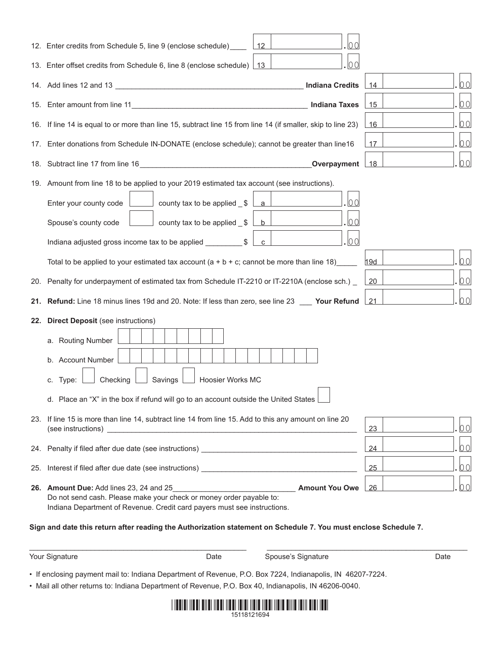|     | 12. Enter credits from Schedule 5, line 9 (enclose schedule)                                                                                                                                                                                                                                                                                      | 12 |                        | 00 |     |      |
|-----|---------------------------------------------------------------------------------------------------------------------------------------------------------------------------------------------------------------------------------------------------------------------------------------------------------------------------------------------------|----|------------------------|----|-----|------|
|     | 13. Enter offset credits from Schedule 6, line 8 (enclose schedule) 13                                                                                                                                                                                                                                                                            |    |                        | 00 |     |      |
|     |                                                                                                                                                                                                                                                                                                                                                   |    | <b>Indiana Credits</b> |    | 14  | 00   |
|     |                                                                                                                                                                                                                                                                                                                                                   |    | <b>Indiana Taxes</b>   |    | 15  | 00   |
|     | 16. If line 14 is equal to or more than line 15, subtract line 15 from line 14 (if smaller, skip to line 23)                                                                                                                                                                                                                                      |    |                        |    | 16  | 00   |
|     | 17. Enter donations from Schedule IN-DONATE (enclose schedule); cannot be greater than line16                                                                                                                                                                                                                                                     |    |                        |    | 17  | 00   |
|     | 18. Subtract line 17 from line 16                                                                                                                                                                                                                                                                                                                 |    | Overpayment            |    | 18  | 00   |
|     | 19. Amount from line 18 to be applied to your 2019 estimated tax account (see instructions).                                                                                                                                                                                                                                                      |    |                        |    |     |      |
|     | $\Box$ county tax to be applied $\uplus$<br>Enter your county code                                                                                                                                                                                                                                                                                | a  |                        | 00 |     |      |
|     | county tax to be applied $$$<br>Spouse's county code                                                                                                                                                                                                                                                                                              | b  |                        | 00 |     |      |
|     | Indiana adjusted gross income tax to be applied ___________\$                                                                                                                                                                                                                                                                                     | C  |                        | 00 |     |      |
|     | Total to be applied to your estimated tax account $(a + b + c)$ ; cannot be more than line 18)                                                                                                                                                                                                                                                    |    |                        |    | 19d | 00   |
|     | 20. Penalty for underpayment of estimated tax from Schedule IT-2210 or IT-2210A (enclose sch.) _                                                                                                                                                                                                                                                  |    |                        |    | 20  | 00   |
| 21. | Refund: Line 18 minus lines 19d and 20. Note: If less than zero, see line 23 ___ Your Refund                                                                                                                                                                                                                                                      |    |                        |    | 21  | 00   |
| 22. | <b>Direct Deposit</b> (see instructions)<br>a. Routing Number<br>b. Account Number<br>Checking<br>Savings<br>Hoosier Works MC<br>c. Type:<br>d. Place an "X" in the box if refund will go to an account outside the United States                                                                                                                 |    |                        |    |     |      |
|     | 23. If line 15 is more than line 14, subtract line 14 from line 15. Add to this any amount on line 20<br>(see instructions)<br><u> 1989 - Johann Harry Barn, mars ar breithinn ar breithinn ar breithinn ar breithinn ar breithinn ar breithinn a</u>                                                                                             |    |                        |    | 23  | 00   |
|     | 24. Penalty if filed after due date (see instructions)                                                                                                                                                                                                                                                                                            |    |                        |    | 24  | 00   |
| 25. | Interest if filed after due date (see instructions) <b>Source and Security Control</b>                                                                                                                                                                                                                                                            |    |                        |    | 25  | 00   |
|     | 26. Amount Due: Add lines 23, 24 and 25<br><b>Example 12 Amount You Owe</b><br>Do not send cash. Please make your check or money order payable to:<br>Indiana Department of Revenue. Credit card payers must see instructions.<br>Sign and date this return after reading the Authorization statement on Schedule 7. You must enclose Schedule 7. |    |                        |    | 26  | 00   |
|     | Your Signature<br>Date                                                                                                                                                                                                                                                                                                                            |    | Spouse's Signature     |    |     | Date |
|     | • If enclosing payment mail to: Indiana Department of Revenue, P.O. Box 7224, Indianapolis, IN 46207-7224.                                                                                                                                                                                                                                        |    |                        |    |     |      |

• Mail all other returns to: Indiana Department of Revenue, P.O. Box 40, Indianapolis, IN 46206-0040.

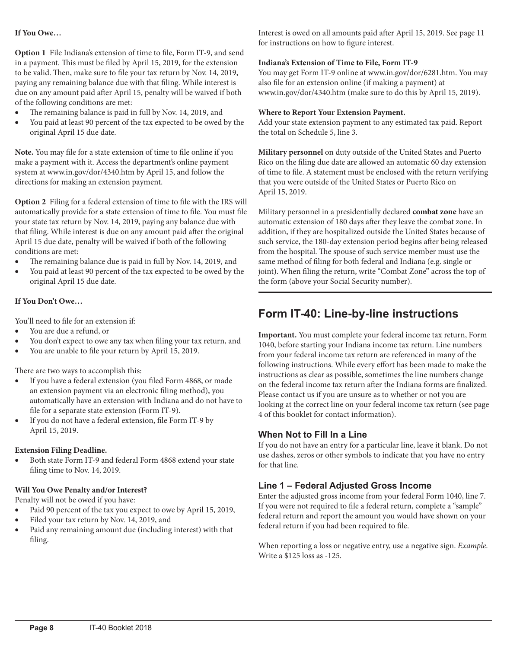#### **If You Owe…**

**Option 1** File Indiana's extension of time to file, Form IT-9, and send in a payment. This must be filed by April 15, 2019, for the extension to be valid. Then, make sure to file your tax return by Nov. 14, 2019, paying any remaining balance due with that filing. While interest is due on any amount paid after April 15, penalty will be waived if both of the following conditions are met:

- The remaining balance is paid in full by Nov. 14, 2019, and
- You paid at least 90 percent of the tax expected to be owed by the original April 15 due date.

**Note.** You may file for a state extension of time to file online if you make a payment with it. Access the department's online payment system at [www.in.gov/dor/4340.htm](http://www.in.gov/dor/4340.htm) by April 15, and follow the directions for making an extension payment.

**Option 2** Filing for a federal extension of time to file with the IRS will automatically provide for a state extension of time to file. You must file your state tax return by Nov. 14, 2019, paying any balance due with that filing. While interest is due on any amount paid after the original April 15 due date, penalty will be waived if both of the following conditions are met:

- The remaining balance due is paid in full by Nov. 14, 2019, and
- You paid at least 90 percent of the tax expected to be owed by the original April 15 due date.

#### **If You Don't Owe…**

You'll need to file for an extension if:

- You are due a refund, or
- You don't expect to owe any tax when filing your tax return, and
- You are unable to file your return by April 15, 2019.

There are two ways to accomplish this:

- If you have a federal extension (you filed Form 4868, or made an extension payment via an electronic filing method), you automatically have an extension with Indiana and do not have to file for a separate state extension (Form IT-9).
- If you do not have a federal extension, file Form IT-9 by April 15, 2019.

#### **Extension Filing Deadline.**

Both state Form IT-9 and federal Form 4868 extend your state filing time to Nov. 14, 2019.

#### **Will You Owe Penalty and/or Interest?**

Penalty will not be owed if you have:

- Paid 90 percent of the tax you expect to owe by April 15, 2019,
- Filed your tax return by Nov. 14, 2019, and
- Paid any remaining amount due (including interest) with that filing.

Interest is owed on all amounts paid after April 15, 2019. See page 11 for instructions on how to figure interest.

#### **Indiana's Extension of Time to File, Form IT-9**

You may get Form IT-9 online at [www.in.gov/dor/6281.htm.](https://www.in.gov/dor/6281.htm) You may also file for an extension online (if making a payment) at [www.in.gov/dor/4340.htm](http://www.in.gov/dor/4340.htm) (make sure to do this by April 15, 2019).

#### **Where to Report Your Extension Payment.**

Add your state extension payment to any estimated tax paid. Report the total on Schedule 5, line 3.

**Military personnel** on duty outside of the United States and Puerto Rico on the filing due date are allowed an automatic 60 day extension of time to file. A statement must be enclosed with the return verifying that you were outside of the United States or Puerto Rico on April 15, 2019.

Military personnel in a presidentially declared **combat zone** have an automatic extension of 180 days after they leave the combat zone. In addition, if they are hospitalized outside the United States because of such service, the 180-day extension period begins after being released from the hospital. The spouse of such service member must use the same method of filing for both federal and Indiana (e.g. single or joint). When filing the return, write "Combat Zone" across the top of the form (above your Social Security number).

# **Form IT-40: Line-by-line instructions**

**Important.** You must complete your federal income tax return, Form 1040, before starting your Indiana income tax return. Line numbers from your federal income tax return are referenced in many of the following instructions. While every effort has been made to make the instructions as clear as possible, sometimes the line numbers change on the federal income tax return after the Indiana forms are finalized. Please contact us if you are unsure as to whether or not you are looking at the correct line on your federal income tax return (see page 4 of this booklet for contact information).

### **When Not to Fill In a Line**

If you do not have an entry for a particular line, leave it blank. Do not use dashes, zeros or other symbols to indicate that you have no entry for that line.

### **Line 1 – Federal Adjusted Gross Income**

Enter the adjusted gross income from your federal Form 1040, line 7. If you were not required to file a federal return, complete a "sample" federal return and report the amount you would have shown on your federal return if you had been required to file.

When reporting a loss or negative entry, use a negative sign. *Example*. Write a \$125 loss as -125.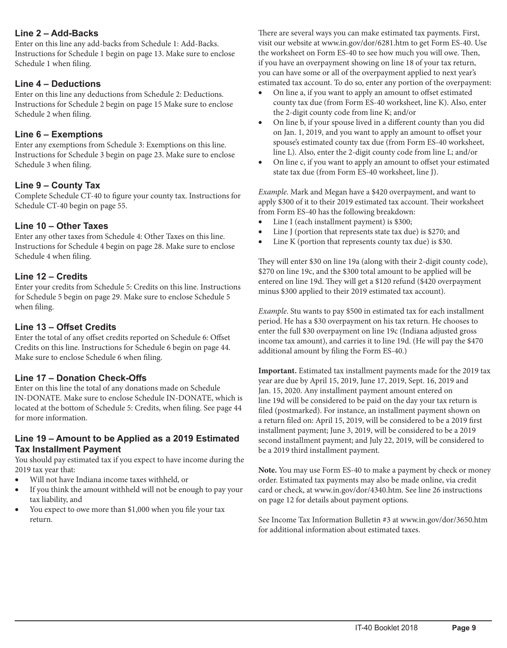### **Line 2 – Add-Backs**

Enter on this line any add-backs from Schedule 1: Add-Backs. Instructions for Schedule 1 begin on page 13. Make sure to enclose Schedule 1 when filing.

### **Line 4 – Deductions**

Enter on this line any deductions from Schedule 2: Deductions. Instructions for Schedule 2 begin on page 15 Make sure to enclose Schedule 2 when filing.

### **Line 6 – Exemptions**

Enter any exemptions from Schedule 3: Exemptions on this line. Instructions for Schedule 3 begin on page 23. Make sure to enclose Schedule 3 when filing.

# **Line 9 – County Tax**

Complete Schedule CT-40 to figure your county tax. Instructions for Schedule CT-40 begin on page 55.

### **Line 10 – Other Taxes**

Enter any other taxes from Schedule 4: Other Taxes on this line. Instructions for Schedule 4 begin on page 28. Make sure to enclose Schedule 4 when filing.

# **Line 12 – Credits**

Enter your credits from Schedule 5: Credits on this line. Instructions for Schedule 5 begin on page 29. Make sure to enclose Schedule 5 when filing.

### **Line 13 – Offset Credits**

Enter the total of any offset credits reported on Schedule 6: Offset Credits on this line. Instructions for Schedule 6 begin on page 44. Make sure to enclose Schedule 6 when filing.

### **Line 17 – Donation Check-Offs**

Enter on this line the total of any donations made on Schedule IN-DONATE. Make sure to enclose Schedule IN-DONATE, which is located at the bottom of Schedule 5: Credits, when filing. See page 44 for more information.

### **Line 19 – Amount to be Applied as a 2019 Estimated Tax Installment Payment**

You should pay estimated tax if you expect to have income during the 2019 tax year that:

- Will not have Indiana income taxes withheld, or
- If you think the amount withheld will not be enough to pay your tax liability, and
- You expect to owe more than \$1,000 when you file your tax return.

There are several ways you can make estimated tax payments. First, visit our website at [www.in.gov/dor/6281.htm](https://www.in.gov/dor/6281.htm) to get Form ES-40. Use the worksheet on Form ES-40 to see how much you will owe. Then, if you have an overpayment showing on line 18 of your tax return, you can have some or all of the overpayment applied to next year's estimated tax account. To do so, enter any portion of the overpayment:

- On line a, if you want to apply an amount to offset estimated county tax due (from Form ES-40 worksheet, line K). Also, enter the 2-digit county code from line K; and/or
- On line b, if your spouse lived in a different county than you did on Jan. 1, 2019, and you want to apply an amount to offset your spouse's estimated county tax due (from Form ES-40 worksheet, line L). Also, enter the 2-digit county code from line L; and/or
- On line c, if you want to apply an amount to offset your estimated state tax due (from Form ES-40 worksheet, line J).

*Example*. Mark and Megan have a \$420 overpayment, and want to apply \$300 of it to their 2019 estimated tax account. Their worksheet from Form ES-40 has the following breakdown:

- Line I (each installment payment) is \$300;
- Line J (portion that represents state tax due) is \$270; and
- Line K (portion that represents county tax due) is  $$30$ .

They will enter \$30 on line 19a (along with their 2-digit county code), \$270 on line 19c, and the \$300 total amount to be applied will be entered on line 19d. They will get a \$120 refund (\$420 overpayment minus \$300 applied to their 2019 estimated tax account).

*Example*. Stu wants to pay \$500 in estimated tax for each installment period. He has a \$30 overpayment on his tax return. He chooses to enter the full \$30 overpayment on line 19c (Indiana adjusted gross income tax amount), and carries it to line 19d. (He will pay the \$470 additional amount by filing the Form ES-40.)

**Important.** Estimated tax installment payments made for the 2019 tax year are due by April 15, 2019, June 17, 2019, Sept. 16, 2019 and Jan. 15, 2020. Any installment payment amount entered on line 19d will be considered to be paid on the day your tax return is filed (postmarked). For instance, an installment payment shown on a return filed on: April 15, 2019, will be considered to be a 2019 first installment payment; June 3, 2019, will be considered to be a 2019 second installment payment; and July 22, 2019, will be considered to be a 2019 third installment payment.

**Note.** You may use Form ES-40 to make a payment by check or money order. Estimated tax payments may also be made online, via credit card or check, at [www.in.gov/dor/4340.htm](http://www.in.gov/dor/4340.htm). See line 26 instructions on page 12 for details about payment options.

See Income Tax Information Bulletin #3 at [www.in.gov/dor/3650.htm](http://www.in.gov/dor/3650.htm) for additional information about estimated taxes.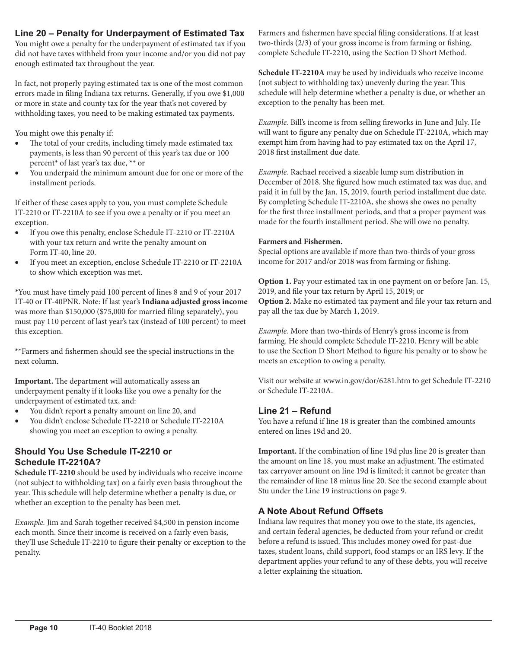# **Line 20 – Penalty for Underpayment of Estimated Tax**

You might owe a penalty for the underpayment of estimated tax if you did not have taxes withheld from your income and/or you did not pay enough estimated tax throughout the year.

In fact, not properly paying estimated tax is one of the most common errors made in filing Indiana tax returns. Generally, if you owe \$1,000 or more in state and county tax for the year that's not covered by withholding taxes, you need to be making estimated tax payments.

You might owe this penalty if:

- The total of your credits, including timely made estimated tax payments, is less than 90 percent of this year's tax due or 100 percent\* of last year's tax due, \*\* or
- You underpaid the minimum amount due for one or more of the installment periods.

If either of these cases apply to you, you must complete Schedule IT-2210 or IT-2210A to see if you owe a penalty or if you meet an exception.

- If you owe this penalty, enclose Schedule IT-2210 or IT-2210A with your tax return and write the penalty amount on Form IT-40, line 20.
- If you meet an exception, enclose Schedule IT-2210 or IT-2210A to show which exception was met.

\*You must have timely paid 100 percent of lines 8 and 9 of your 2017 IT-40 or IT-40PNR. Note: If last year's **Indiana adjusted gross income** was more than \$150,000 (\$75,000 for married filing separately), you must pay 110 percent of last year's tax (instead of 100 percent) to meet this exception.

\*\*Farmers and fishermen should see the special instructions in the next column.

**Important.** The department will automatically assess an underpayment penalty if it looks like you owe a penalty for the underpayment of estimated tax, and:

- • You didn't report a penalty amount on line 20, and
- You didn't enclose Schedule IT-2210 or Schedule IT-2210A showing you meet an exception to owing a penalty.

# **Should You Use Schedule IT-2210 or Schedule IT-2210A?**

**Schedule IT-2210** should be used by individuals who receive income (not subject to withholding tax) on a fairly even basis throughout the year. This schedule will help determine whether a penalty is due, or whether an exception to the penalty has been met.

*Example.* Jim and Sarah together received \$4,500 in pension income each month. Since their income is received on a fairly even basis, they'll use Schedule IT-2210 to figure their penalty or exception to the penalty.

Farmers and fishermen have special filing considerations. If at least two-thirds (2/3) of your gross income is from farming or fishing, complete Schedule IT-2210, using the Section D Short Method.

**Schedule IT-2210A** may be used by individuals who receive income (not subject to withholding tax) unevenly during the year. This schedule will help determine whether a penalty is due, or whether an exception to the penalty has been met.

*Example.* Bill's income is from selling fireworks in June and July. He will want to figure any penalty due on Schedule IT-2210A, which may exempt him from having had to pay estimated tax on the April 17, 2018 first installment due date.

*Example.* Rachael received a sizeable lump sum distribution in December of 2018. She figured how much estimated tax was due, and paid it in full by the Jan. 15, 2019, fourth period installment due date. By completing Schedule IT-2210A, she shows she owes no penalty for the first three installment periods, and that a proper payment was made for the fourth installment period. She will owe no penalty.

#### **Farmers and Fishermen.**

Special options are available if more than two-thirds of your gross income for 2017 and/or 2018 was from farming or fishing.

**Option 1.** Pay your estimated tax in one payment on or before Jan. 15, 2019, and file your tax return by April 15, 2019; or **Option 2.** Make no estimated tax payment and file your tax return and pay all the tax due by March 1, 2019.

*Example.* More than two-thirds of Henry's gross income is from farming. He should complete Schedule IT-2210. Henry will be able to use the Section D Short Method to figure his penalty or to show he meets an exception to owing a penalty.

Visit our website at [www.in.gov/dor/6281.htm](https://www.in.gov/dor/6281.htm) to get Schedule IT-2210 or Schedule IT-2210A.

# **Line 21 – Refund**

You have a refund if line 18 is greater than the combined amounts entered on lines 19d and 20.

**Important.** If the combination of line 19d plus line 20 is greater than the amount on line 18, you must make an adjustment. The estimated tax carryover amount on line 19d is limited; it cannot be greater than the remainder of line 18 minus line 20. See the second example about Stu under the Line 19 instructions on page 9.

### **A Note About Refund Offsets**

Indiana law requires that money you owe to the state, its agencies, and certain federal agencies, be deducted from your refund or credit before a refund is issued. This includes money owed for past-due taxes, student loans, child support, food stamps or an IRS levy. If the department applies your refund to any of these debts, you will receive a letter explaining the situation.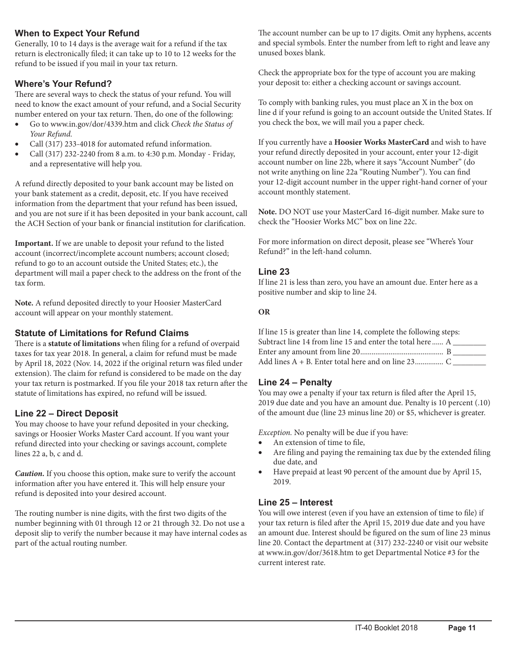# **When to Expect Your Refund**

Generally, 10 to 14 days is the average wait for a refund if the tax return is electronically filed; it can take up to 10 to 12 weeks for the refund to be issued if you mail in your tax return.

# **Where's Your Refund?**

There are several ways to check the status of your refund. You will need to know the exact amount of your refund, and a Social Security number entered on your tax return. Then, do one of the following:

- • Go to [www.in.gov/dor/4339.htm](http://www.in.gov/dor/4339.htm) and click *Check the Status of Your Refund.*
- Call (317) 233-4018 for automated refund information.
- Call (317) 232-2240 from 8 a.m. to 4:30 p.m. Monday Friday, and a representative will help you.

A refund directly deposited to your bank account may be listed on your bank statement as a credit, deposit, etc. If you have received information from the department that your refund has been issued, and you are not sure if it has been deposited in your bank account, call the ACH Section of your bank or financial institution for clarification.

**Important.** If we are unable to deposit your refund to the listed account (incorrect/incomplete account numbers; account closed; refund to go to an account outside the United States; etc.), the department will mail a paper check to the address on the front of the tax form.

**Note.** A refund deposited directly to your Hoosier MasterCard account will appear on your monthly statement.

### **Statute of Limitations for Refund Claims**

There is a **statute of limitations** when filing for a refund of overpaid taxes for tax year 2018. In general, a claim for refund must be made by April 18, 2022 (Nov. 14, 2022 if the original return was filed under extension). The claim for refund is considered to be made on the day your tax return is postmarked. If you file your 2018 tax return after the statute of limitations has expired, no refund will be issued.

# **Line 22 – Direct Deposit**

You may choose to have your refund deposited in your checking, savings or Hoosier Works Master Card account. If you want your refund directed into your checking or savings account, complete lines 22 a, b, c and d.

*Caution.* If you choose this option, make sure to verify the account information after you have entered it. This will help ensure your refund is deposited into your desired account.

The routing number is nine digits, with the first two digits of the number beginning with 01 through 12 or 21 through 32. Do not use a deposit slip to verify the number because it may have internal codes as part of the actual routing number.

The account number can be up to 17 digits. Omit any hyphens, accents and special symbols. Enter the number from left to right and leave any unused boxes blank.

Check the appropriate box for the type of account you are making your deposit to: either a checking account or savings account.

To comply with banking rules, you must place an X in the box on line d if your refund is going to an account outside the United States. If you check the box, we will mail you a paper check.

If you currently have a **Hoosier Works MasterCard** and wish to have your refund directly deposited in your account, enter your 12-digit account number on line 22b, where it says "Account Number" (do not write anything on line 22a "Routing Number"). You can find your 12-digit account number in the upper right-hand corner of your account monthly statement.

**Note.** DO NOT use your MasterCard 16-digit number. Make sure to check the "Hoosier Works MC" box on line 22c.

For more information on direct deposit, please see "Where's Your Refund?" in the left-hand column.

### **Line 23**

If line 21 is less than zero, you have an amount due. Enter here as a positive number and skip to line 24.

#### **OR**

| If line 15 is greater than line 14, complete the following steps: |  |
|-------------------------------------------------------------------|--|
| Subtract line 14 from line 15 and enter the total here  A         |  |
|                                                                   |  |
|                                                                   |  |

### **Line 24 – Penalty**

You may owe a penalty if your tax return is filed after the April 15, 2019 due date and you have an amount due. Penalty is 10 percent (.10) of the amount due (line 23 minus line 20) or \$5, whichever is greater.

*Exception.* No penalty will be due if you have:

- An extension of time to file,
- Are filing and paying the remaining tax due by the extended filing due date, and
- • Have prepaid at least 90 percent of the amount due by April 15, 2019.

### **Line 25 – Interest**

You will owe interest (even if you have an extension of time to file) if your tax return is filed after the April 15, 2019 due date and you have an amount due. Interest should be figured on the sum of line 23 minus line 20. Contact the department at (317) 232-2240 or visit our website at [www.in.gov/dor/3618.htm](http://www.in.gov/dor/3618.htm) to get Departmental Notice #3 for the current interest rate.